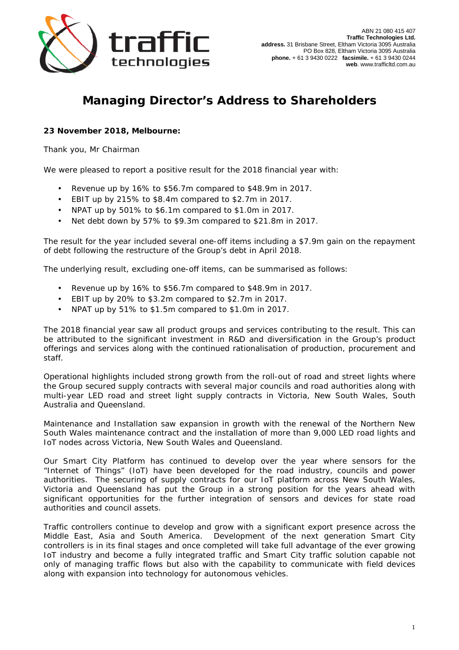

## **Managing Director's Address to Shareholders**

**23 November 2018, Melbourne:** 

Thank you, Mr Chairman

We were pleased to report a positive result for the 2018 financial year with:

- Revenue up by 16% to \$56.7m compared to \$48.9m in 2017.
- EBIT up by 215% to \$8.4m compared to \$2.7m in 2017.
- NPAT up by 501% to \$6.1m compared to \$1.0m in 2017.
- Net debt down by 57% to \$9.3m compared to \$21.8m in 2017.

The result for the year included several one-off items including a \$7.9m gain on the repayment of debt following the restructure of the Group's debt in April 2018.

The underlying result, excluding one-off items, can be summarised as follows:

- Revenue up by 16% to \$56.7m compared to \$48.9m in 2017.
- EBIT up by 20% to \$3.2m compared to \$2.7m in 2017.
- NPAT up by 51% to \$1.5m compared to \$1.0m in 2017.

The 2018 financial year saw all product groups and services contributing to the result. This can be attributed to the significant investment in R&D and diversification in the Group's product offerings and services along with the continued rationalisation of production, procurement and staff.

Operational highlights included strong growth from the roll-out of road and street lights where the Group secured supply contracts with several major councils and road authorities along with multi-year LED road and street light supply contracts in Victoria, New South Wales, South Australia and Queensland.

Maintenance and Installation saw expansion in growth with the renewal of the Northern New South Wales maintenance contract and the installation of more than 9,000 LED road lights and IoT nodes across Victoria, New South Wales and Queensland.

Our Smart City Platform has continued to develop over the year where sensors for the "Internet of Things" (IoT) have been developed for the road industry, councils and power authorities. The securing of supply contracts for our IoT platform across New South Wales, Victoria and Queensland has put the Group in a strong position for the years ahead with significant opportunities for the further integration of sensors and devices for state road authorities and council assets.

Traffic controllers continue to develop and grow with a significant export presence across the Middle East, Asia and South America. Development of the next generation Smart City controllers is in its final stages and once completed will take full advantage of the ever growing IoT industry and become a fully integrated traffic and Smart City traffic solution capable not only of managing traffic flows but also with the capability to communicate with field devices along with expansion into technology for autonomous vehicles.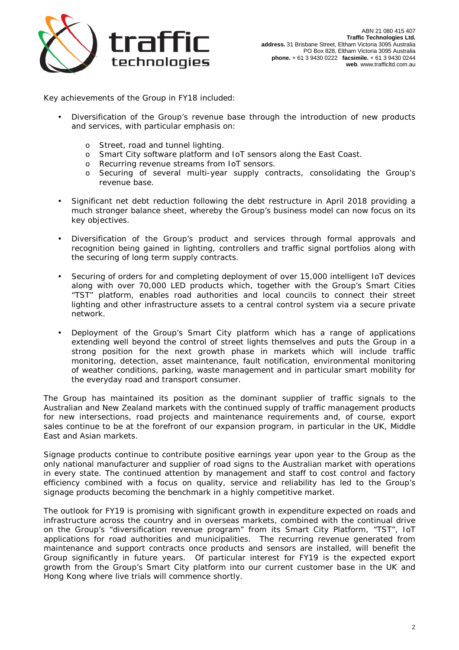

Key achievements of the Group in FY18 included:

- Diversification of the Group's revenue base through the introduction of new products and services, with particular emphasis on:
	- o Street, road and tunnel lighting.
	- o Smart City software platform and IoT sensors along the East Coast.
	- o Recurring revenue streams from IoT sensors.
	- o Securing of several multi-year supply contracts, consolidating the Group's revenue base.
- Significant net debt reduction following the debt restructure in April 2018 providing a much stronger balance sheet, whereby the Group's business model can now focus on its key objectives.
- Diversification of the Group's product and services through formal approvals and recognition being gained in lighting, controllers and traffic signal portfolios along with the securing of long term supply contracts.
- Securing of orders for and completing deployment of over 15,000 intelligent IoT devices along with over 70,000 LED products which, together with the Group's Smart Cities "TST" platform, enables road authorities and local councils to connect their street lighting and other infrastructure assets to a central control system via a secure private network.
- Deployment of the Group's Smart City platform which has a range of applications extending well beyond the control of street lights themselves and puts the Group in a strong position for the next growth phase in markets which will include traffic monitoring, detection, asset maintenance, fault notification, environmental monitoring of weather conditions, parking, waste management and in particular smart mobility for the everyday road and transport consumer.

The Group has maintained its position as the dominant supplier of traffic signals to the Australian and New Zealand markets with the continued supply of traffic management products for new intersections, road projects and maintenance requirements and, of course, export sales continue to be at the forefront of our expansion program, in particular in the UK, Middle East and Asian markets.

Signage products continue to contribute positive earnings year upon year to the Group as the only national manufacturer and supplier of road signs to the Australian market with operations in every state. The continued attention by management and staff to cost control and factory efficiency combined with a focus on quality, service and reliability has led to the Group's signage products becoming the benchmark in a highly competitive market.

The outlook for FY19 is promising with significant growth in expenditure expected on roads and infrastructure across the country and in overseas markets, combined with the continual drive on the Group's "diversification revenue program" from its Smart City Platform, "TST", IoT applications for road authorities and municipalities. The recurring revenue generated from maintenance and support contracts once products and sensors are installed, will benefit the Group significantly in future years. Of particular interest for FY19 is the expected export growth from the Group's Smart City platform into our current customer base in the UK and Hong Kong where live trials will commence shortly.